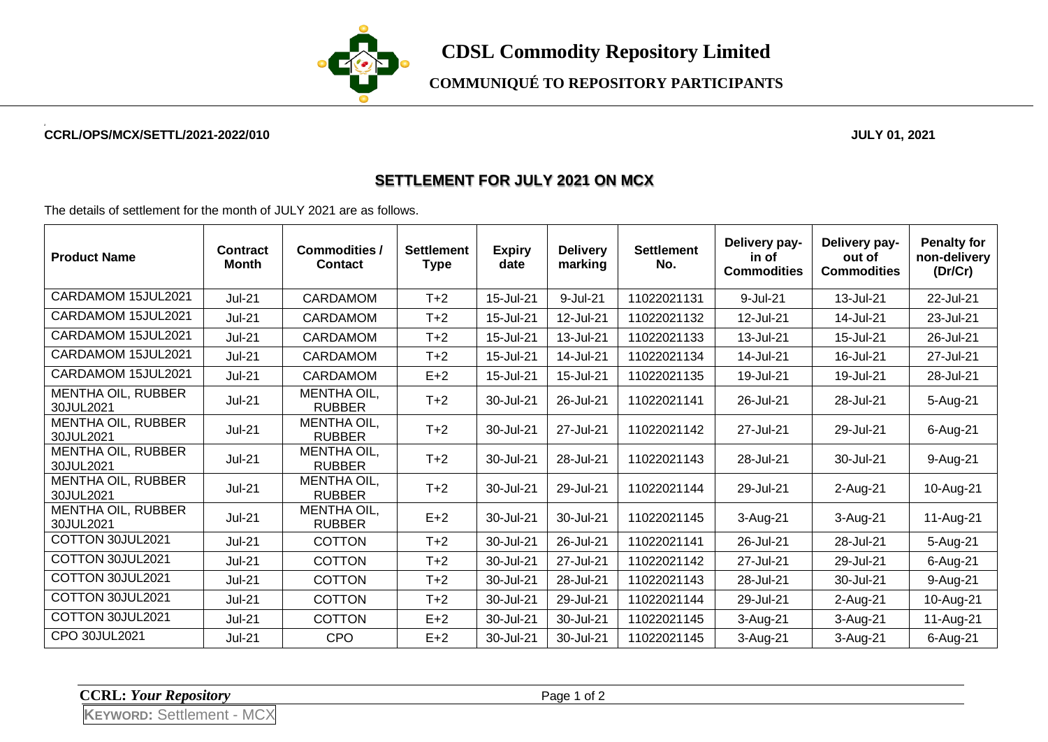

**COMMUNIQUÉ TO REPOSITORY PARTICIPANTS**

## **CCRL/OPS/MCX/SETTL/2021-2022/010 JULY 01, 2021**

## **SETTLEMENT FOR JULY 2021 ON MCX**

The details of settlement for the month of JULY 2021 are as follows.

| <b>Product Name</b>                    | Contract<br><b>Month</b> | <b>Commodities /</b><br><b>Contact</b> | <b>Settlement</b><br><b>Type</b> | <b>Expiry</b><br>date | <b>Delivery</b><br>marking | <b>Settlement</b><br>No. | Delivery pay-<br>in of<br><b>Commodities</b> | Delivery pay-<br>out of<br><b>Commodities</b> | <b>Penalty for</b><br>non-delivery<br>(Dr/Cr) |
|----------------------------------------|--------------------------|----------------------------------------|----------------------------------|-----------------------|----------------------------|--------------------------|----------------------------------------------|-----------------------------------------------|-----------------------------------------------|
| CARDAMOM 15JUL2021                     | <b>Jul-21</b>            | <b>CARDAMOM</b>                        | $T+2$                            | 15-Jul-21             | 9-Jul-21                   | 11022021131              | 9-Jul-21                                     | 13-Jul-21                                     | 22-Jul-21                                     |
| CARDAMOM 15JUL2021                     | <b>Jul-21</b>            | <b>CARDAMOM</b>                        | $T+2$                            | 15-Jul-21             | 12-Jul-21                  | 11022021132              | 12-Jul-21                                    | 14-Jul-21                                     | 23-Jul-21                                     |
| CARDAMOM 15JUL2021                     | <b>Jul-21</b>            | <b>CARDAMOM</b>                        | $T+2$                            | 15-Jul-21             | 13-Jul-21                  | 11022021133              | 13-Jul-21                                    | 15-Jul-21                                     | 26-Jul-21                                     |
| CARDAMOM 15JUL2021                     | <b>Jul-21</b>            | <b>CARDAMOM</b>                        | $T+2$                            | 15-Jul-21             | 14-Jul-21                  | 11022021134              | 14-Jul-21                                    | 16-Jul-21                                     | 27-Jul-21                                     |
| CARDAMOM 15JUL2021                     | <b>Jul-21</b>            | <b>CARDAMOM</b>                        | $E+2$                            | 15-Jul-21             | 15-Jul-21                  | 11022021135              | 19-Jul-21                                    | 19-Jul-21                                     | 28-Jul-21                                     |
| MENTHA OIL, RUBBER<br>30JUL2021        | $Jul-21$                 | MENTHA OIL,<br><b>RUBBER</b>           | $T+2$                            | 30-Jul-21             | 26-Jul-21                  | 11022021141              | 26-Jul-21                                    | 28-Jul-21                                     | 5-Aug-21                                      |
| MENTHA OIL, RUBBER<br>30JUL2021        | <b>Jul-21</b>            | <b>MENTHA OIL,</b><br><b>RUBBER</b>    | $T+2$                            | 30-Jul-21             | 27-Jul-21                  | 11022021142              | 27-Jul-21                                    | 29-Jul-21                                     | 6-Aug-21                                      |
| <b>MENTHA OIL, RUBBER</b><br>30JUL2021 | $Jul-21$                 | <b>MENTHA OIL,</b><br><b>RUBBER</b>    | $T+2$                            | 30-Jul-21             | 28-Jul-21                  | 11022021143              | 28-Jul-21                                    | 30-Jul-21                                     | 9-Aug-21                                      |
| MENTHA OIL, RUBBER<br>30JUL2021        | $Jul-21$                 | <b>MENTHA OIL,</b><br><b>RUBBER</b>    | $T+2$                            | 30-Jul-21             | 29-Jul-21                  | 11022021144              | 29-Jul-21                                    | 2-Aug-21                                      | 10-Aug-21                                     |
| MENTHA OIL, RUBBER<br>30JUL2021        | $Jul-21$                 | <b>MENTHA OIL,</b><br><b>RUBBER</b>    | $E+2$                            | 30-Jul-21             | 30-Jul-21                  | 11022021145              | 3-Aug-21                                     | 3-Aug-21                                      | 11-Aug-21                                     |
| COTTON 30JUL2021                       | $Jul-21$                 | <b>COTTON</b>                          | $T+2$                            | 30-Jul-21             | 26-Jul-21                  | 11022021141              | 26-Jul-21                                    | 28-Jul-21                                     | 5-Aug-21                                      |
| COTTON 30JUL2021                       | <b>Jul-21</b>            | <b>COTTON</b>                          | $T+2$                            | 30-Jul-21             | 27-Jul-21                  | 11022021142              | 27-Jul-21                                    | 29-Jul-21                                     | 6-Aug-21                                      |
| COTTON 30JUL2021                       | <b>Jul-21</b>            | <b>COTTON</b>                          | $T+2$                            | 30-Jul-21             | 28-Jul-21                  | 11022021143              | 28-Jul-21                                    | 30-Jul-21                                     | 9-Aug-21                                      |
| COTTON 30JUL2021                       | <b>Jul-21</b>            | <b>COTTON</b>                          | $T+2$                            | 30-Jul-21             | 29-Jul-21                  | 11022021144              | 29-Jul-21                                    | 2-Aug-21                                      | 10-Aug-21                                     |
| COTTON 30JUL2021                       | $Jul-21$                 | <b>COTTON</b>                          | $E+2$                            | 30-Jul-21             | 30-Jul-21                  | 11022021145              | $3-Auq-21$                                   | 3-Aug-21                                      | 11-Aug-21                                     |
| CPO 30JUL2021                          | $Jul-21$                 | <b>CPO</b>                             | $E+2$                            | 30-Jul-21             | 30-Jul-21                  | 11022021145              | 3-Aug-21                                     | 3-Aug-21                                      | 6-Aug-21                                      |

**CCRL:** *Your Repository* Page 1 of 2

**KEYWORD:** Settlement - MCX